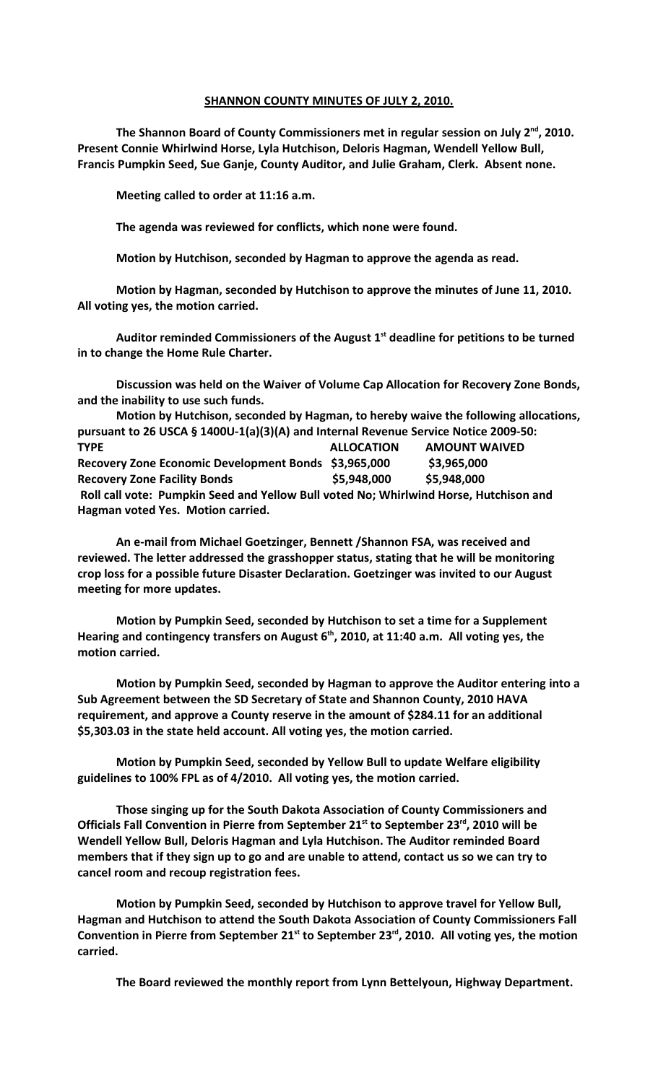## **SHANNON COUNTY MINUTES OF JULY 2, 2010.**

**The Shannon Board of County Commissioners met in regular session on July 2nd, 2010. Present Connie Whirlwind Horse, Lyla Hutchison, Deloris Hagman, Wendell Yellow Bull, Francis Pumpkin Seed, Sue Ganje, County Auditor, and Julie Graham, Clerk. Absent none.**

**Meeting called to order at 11:16 a.m.**

**The agenda was reviewed for conflicts, which none were found.**

**Motion by Hutchison, seconded by Hagman to approve the agenda as read.**

**Motion by Hagman, seconded by Hutchison to approve the minutes of June 11, 2010. All voting yes, the motion carried.**

**Auditor reminded Commissioners of the August 1st deadline for petitions to be turned in to change the Home Rule Charter.**

**Discussion was held on the Waiver of Volume Cap Allocation for Recovery Zone Bonds, and the inability to use such funds.**

**Motion by Hutchison, seconded by Hagman, to hereby waive the following allocations, pursuant to 26 USCA § 1400U-1(a)(3)(A) and Internal Revenue Service Notice 2009-50: TYPE ALLOCATION AMOUNT WAIVED Recovery Zone Economic Development Bonds \$3,965,000 \$3,965,000 Recovery Zone Facility Bonds \$5,948,000 \$5,948,000 Roll call vote: Pumpkin Seed and Yellow Bull voted No; Whirlwind Horse, Hutchison and Hagman voted Yes. Motion carried.**

**An e-mail from Michael Goetzinger, Bennett /Shannon FSA, was received and reviewed. The letter addressed the grasshopper status, stating that he will be monitoring crop loss for a possible future Disaster Declaration. Goetzinger was invited to our August meeting for more updates.** 

**Motion by Pumpkin Seed, seconded by Hutchison to set a time for a Supplement Hearing and contingency transfers on August 6th, 2010, at 11:40 a.m. All voting yes, the motion carried.**

**Motion by Pumpkin Seed, seconded by Hagman to approve the Auditor entering into a Sub Agreement between the SD Secretary of State and Shannon County, 2010 HAVA requirement, and approve a County reserve in the amount of \$284.11 for an additional \$5,303.03 in the state held account. All voting yes, the motion carried.** 

**Motion by Pumpkin Seed, seconded by Yellow Bull to update Welfare eligibility guidelines to 100% FPL as of 4/2010. All voting yes, the motion carried.**

**Those singing up for the South Dakota Association of County Commissioners and Officials Fall Convention in Pierre from September 21st to September 23rd, 2010 will be Wendell Yellow Bull, Deloris Hagman and Lyla Hutchison. The Auditor reminded Board members that if they sign up to go and are unable to attend, contact us so we can try to cancel room and recoup registration fees.** 

**Motion by Pumpkin Seed, seconded by Hutchison to approve travel for Yellow Bull, Hagman and Hutchison to attend the South Dakota Association of County Commissioners Fall Convention in Pierre from September 21st to September 23rd, 2010. All voting yes, the motion carried.** 

**The Board reviewed the monthly report from Lynn Bettelyoun, Highway Department.**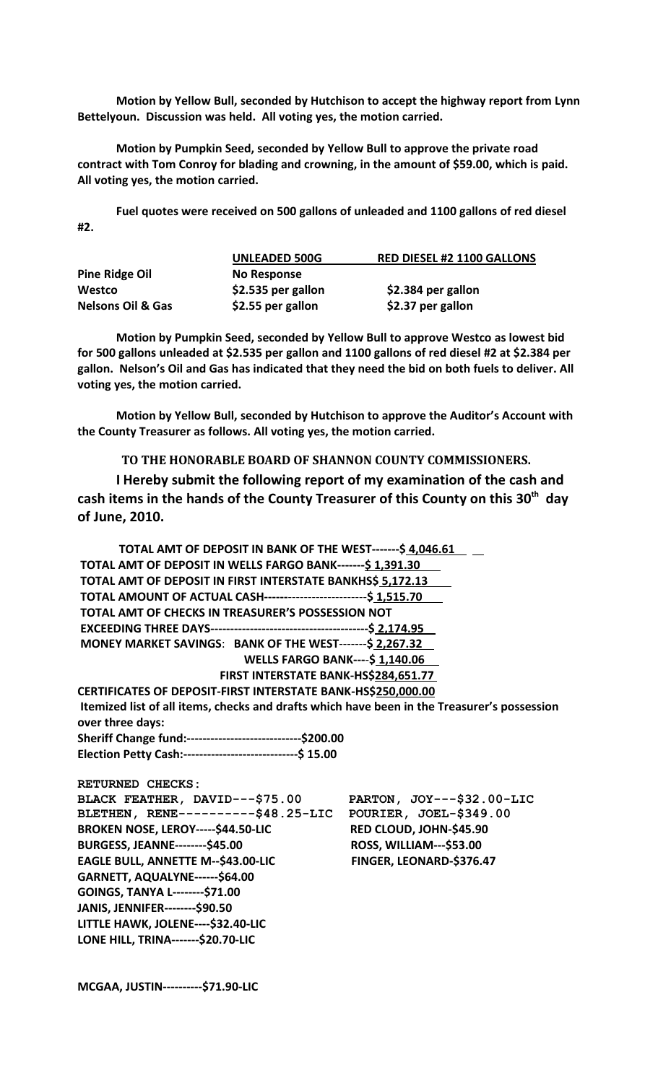**Motion by Yellow Bull, seconded by Hutchison to accept the highway report from Lynn Bettelyoun. Discussion was held. All voting yes, the motion carried.**

**Motion by Pumpkin Seed, seconded by Yellow Bull to approve the private road contract with Tom Conroy for blading and crowning, in the amount of \$59.00, which is paid. All voting yes, the motion carried.**

**Fuel quotes were received on 500 gallons of unleaded and 1100 gallons of red diesel #2.**

|                              | <b>UNLEADED 500G</b> | <b>RED DIESEL #2 1100 GALLONS</b> |
|------------------------------|----------------------|-----------------------------------|
| Pine Ridge Oil               | No Response          |                                   |
| Westco                       | \$2.535 per gallon   | \$2.384 per gallon                |
| <b>Nelsons Oil &amp; Gas</b> | \$2.55 per gallon    | \$2.37 per gallon                 |

**Motion by Pumpkin Seed, seconded by Yellow Bull to approve Westco as lowest bid for 500 gallons unleaded at \$2.535 per gallon and 1100 gallons of red diesel #2 at \$2.384 per gallon. Nelson's Oil and Gas has indicated that they need the bid on both fuels to deliver. All voting yes, the motion carried.**

**Motion by Yellow Bull, seconded by Hutchison to approve the Auditor's Account with the County Treasurer as follows. All voting yes, the motion carried.**

## **TO THE HONORABLE BOARD OF SHANNON COUNTY COMMISSIONERS.**

**I Hereby submit the following report of my examination of the cash and cash items in the hands of the County Treasurer of this County on this 30th day of June, 2010.**

| TOTAL AMT OF DEPOSIT IN BANK OF THE WEST-------\$ 4,046.61                                  |                                |
|---------------------------------------------------------------------------------------------|--------------------------------|
| TOTAL AMT OF DEPOSIT IN WELLS FARGO BANK-------\$ 1,391.30                                  |                                |
| TOTAL AMT OF DEPOSIT IN FIRST INTERSTATE BANKHS\$ 5,172.13                                  |                                |
| TOTAL AMOUNT OF ACTUAL CASH----------------------------\$ 1,515.70                          |                                |
| TOTAL AMT OF CHECKS IN TREASURER'S POSSESSION NOT                                           |                                |
|                                                                                             |                                |
| MONEY MARKET SAVINGS: BANK OF THE WEST-------\$ 2,267.32                                    |                                |
| <b>WELLS FARGO BANK---- \$1,140.06</b>                                                      |                                |
| FIRST INTERSTATE BANK-HS\$284,651.77                                                        |                                |
| CERTIFICATES OF DEPOSIT-FIRST INTERSTATE BANK-HS\$250,000.00                                |                                |
| Itemized list of all items, checks and drafts which have been in the Treasurer's possession |                                |
| over three days:                                                                            |                                |
| Sheriff Change fund:------------------------------\$200.00                                  |                                |
| Election Petty Cash:------------------------------\$ 15.00                                  |                                |
| <b>RETURNED CHECKS:</b>                                                                     |                                |
| BLACK FEATHER, DAVID---\$75.00                                                              | PARTON, JOY---\$32.00-LIC      |
| BLETHEN, RENE----------\$48.25-LIC                                                          | POURIER, JOEL-\$349.00         |
| BROKEN NOSE, LEROY-----\$44.50-LIC                                                          | RED CLOUD, JOHN-\$45.90        |
| <b>BURGESS, JEANNE--------\$45.00</b>                                                       | <b>ROSS, WILLIAM---\$53.00</b> |
| EAGLE BULL, ANNETTE M--\$43.00-LIC                                                          | FINGER, LEONARD-\$376.47       |
| GARNETT, AQUALYNE------\$64.00                                                              |                                |
| GOINGS, TANYA L--------\$71.00                                                              |                                |
| JANIS, JENNIFER--------\$90.50                                                              |                                |
| LITTLE HAWK, JOLENE---- \$32.40-LIC                                                         |                                |
| LONE HILL, TRINA-------\$20.70-LIC                                                          |                                |
|                                                                                             |                                |

**MCGAA, JUSTIN----------\$71.90-LIC**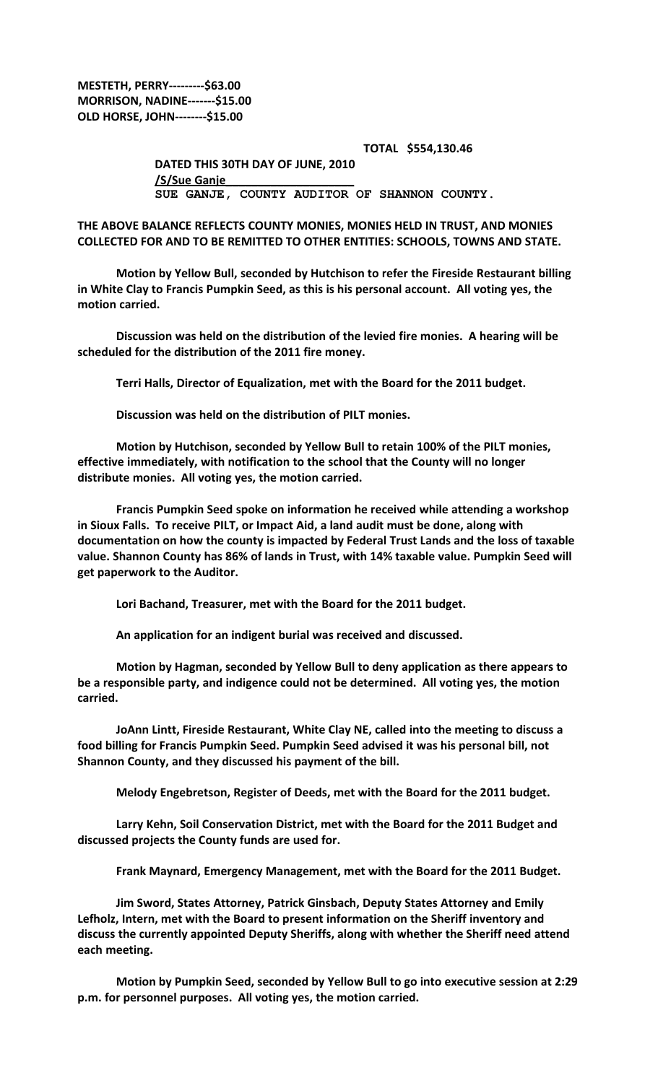**MESTETH, PERRY---------\$63.00 MORRISON, NADINE-------\$15.00 OLD HORSE, JOHN--------\$15.00**

> **TOTAL \$554,130.46 DATED THIS 30TH DAY OF JUNE, 2010 /S/Sue Ganje\_\_\_\_\_\_\_\_\_\_\_\_\_\_\_\_\_\_\_\_ SUE GANJE, COUNTY AUDITOR OF SHANNON COUNTY.**

**THE ABOVE BALANCE REFLECTS COUNTY MONIES, MONIES HELD IN TRUST, AND MONIES COLLECTED FOR AND TO BE REMITTED TO OTHER ENTITIES: SCHOOLS, TOWNS AND STATE.**

**Motion by Yellow Bull, seconded by Hutchison to refer the Fireside Restaurant billing in White Clay to Francis Pumpkin Seed, as this is his personal account. All voting yes, the motion carried.**

**Discussion was held on the distribution of the levied fire monies. A hearing will be scheduled for the distribution of the 2011 fire money.**

**Terri Halls, Director of Equalization, met with the Board for the 2011 budget.**

**Discussion was held on the distribution of PILT monies.**

**Motion by Hutchison, seconded by Yellow Bull to retain 100% of the PILT monies, effective immediately, with notification to the school that the County will no longer distribute monies. All voting yes, the motion carried.**

**Francis Pumpkin Seed spoke on information he received while attending a workshop in Sioux Falls. To receive PILT, or Impact Aid, a land audit must be done, along with documentation on how the county is impacted by Federal Trust Lands and the loss of taxable value. Shannon County has 86% of lands in Trust, with 14% taxable value. Pumpkin Seed will get paperwork to the Auditor.** 

**Lori Bachand, Treasurer, met with the Board for the 2011 budget.**

**An application for an indigent burial was received and discussed.**

**Motion by Hagman, seconded by Yellow Bull to deny application as there appears to be a responsible party, and indigence could not be determined. All voting yes, the motion carried.**

**JoAnn Lintt, Fireside Restaurant, White Clay NE, called into the meeting to discuss a food billing for Francis Pumpkin Seed. Pumpkin Seed advised it was his personal bill, not Shannon County, and they discussed his payment of the bill.**

**Melody Engebretson, Register of Deeds, met with the Board for the 2011 budget.**

**Larry Kehn, Soil Conservation District, met with the Board for the 2011 Budget and discussed projects the County funds are used for.**

**Frank Maynard, Emergency Management, met with the Board for the 2011 Budget.**

**Jim Sword, States Attorney, Patrick Ginsbach, Deputy States Attorney and Emily Lefholz, Intern, met with the Board to present information on the Sheriff inventory and discuss the currently appointed Deputy Sheriffs, along with whether the Sheriff need attend each meeting.**

**Motion by Pumpkin Seed, seconded by Yellow Bull to go into executive session at 2:29 p.m. for personnel purposes. All voting yes, the motion carried.**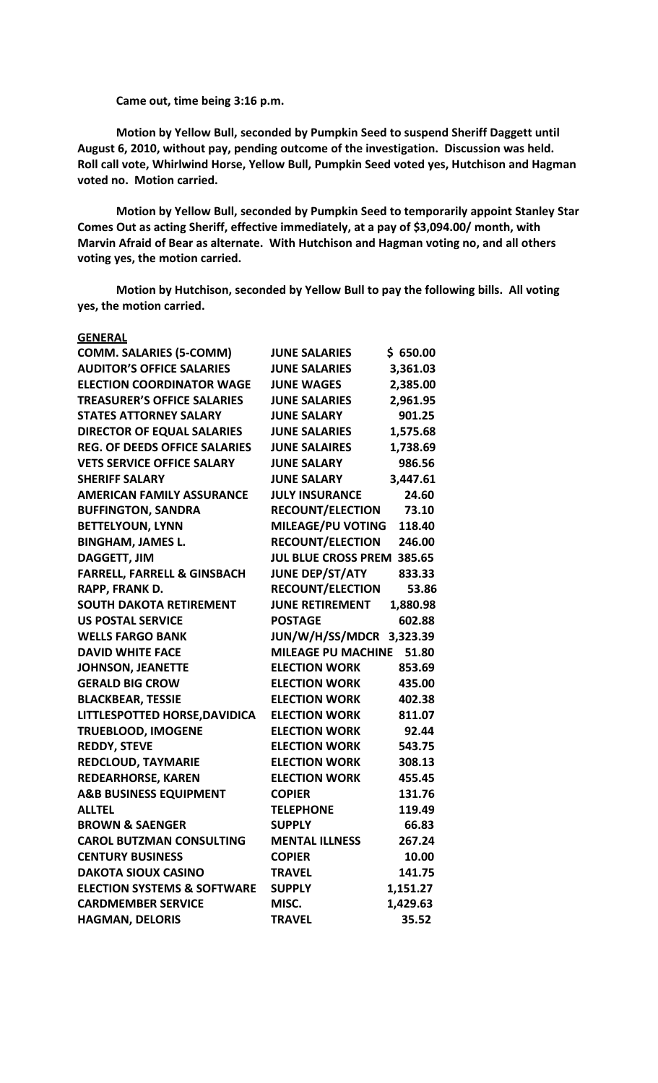**Came out, time being 3:16 p.m.**

**Motion by Yellow Bull, seconded by Pumpkin Seed to suspend Sheriff Daggett until August 6, 2010, without pay, pending outcome of the investigation. Discussion was held. Roll call vote, Whirlwind Horse, Yellow Bull, Pumpkin Seed voted yes, Hutchison and Hagman voted no. Motion carried.**

**Motion by Yellow Bull, seconded by Pumpkin Seed to temporarily appoint Stanley Star Comes Out as acting Sheriff, effective immediately, at a pay of \$3,094.00/ month, with Marvin Afraid of Bear as alternate. With Hutchison and Hagman voting no, and all others voting yes, the motion carried.**

**Motion by Hutchison, seconded by Yellow Bull to pay the following bills. All voting yes, the motion carried.**

| <b>GENERAL</b>                         |                            |          |
|----------------------------------------|----------------------------|----------|
| <b>COMM. SALARIES (5-COMM)</b>         | <b>JUNE SALARIES</b>       | \$650.00 |
| <b>AUDITOR'S OFFICE SALARIES</b>       | <b>JUNE SALARIES</b>       | 3,361.03 |
| <b>ELECTION COORDINATOR WAGE</b>       | <b>JUNE WAGES</b>          | 2,385.00 |
| <b>TREASURER'S OFFICE SALARIES</b>     | <b>JUNE SALARIES</b>       | 2,961.95 |
| <b>STATES ATTORNEY SALARY</b>          | <b>JUNE SALARY</b>         | 901.25   |
| <b>DIRECTOR OF EQUAL SALARIES</b>      | <b>JUNE SALARIES</b>       | 1,575.68 |
| <b>REG. OF DEEDS OFFICE SALARIES</b>   | <b>JUNE SALAIRES</b>       | 1,738.69 |
| <b>VETS SERVICE OFFICE SALARY</b>      | <b>JUNE SALARY</b>         | 986.56   |
| <b>SHERIFF SALARY</b>                  | <b>JUNE SALARY</b>         | 3,447.61 |
| <b>AMERICAN FAMILY ASSURANCE</b>       | <b>JULY INSURANCE</b>      | 24.60    |
| <b>BUFFINGTON, SANDRA</b>              | <b>RECOUNT/ELECTION</b>    | 73.10    |
| <b>BETTELYOUN, LYNN</b>                | <b>MILEAGE/PU VOTING</b>   | 118.40   |
| <b>BINGHAM, JAMES L.</b>               | <b>RECOUNT/ELECTION</b>    | 246.00   |
| <b>DAGGETT, JIM</b>                    | <b>JUL BLUE CROSS PREM</b> | 385.65   |
| <b>FARRELL, FARRELL &amp; GINSBACH</b> | JUNE DEP/ST/ATY            | 833.33   |
| RAPP, FRANK D.                         | <b>RECOUNT/ELECTION</b>    | 53.86    |
| <b>SOUTH DAKOTA RETIREMENT</b>         | <b>JUNE RETIREMENT</b>     | 1,880.98 |
| <b>US POSTAL SERVICE</b>               | <b>POSTAGE</b>             | 602.88   |
| <b>WELLS FARGO BANK</b>                | <b>JUN/W/H/SS/MDCR</b>     | 3,323.39 |
| <b>DAVID WHITE FACE</b>                | <b>MILEAGE PU MACHINE</b>  | 51.80    |
| <b>JOHNSON, JEANETTE</b>               | <b>ELECTION WORK</b>       | 853.69   |
| <b>GERALD BIG CROW</b>                 | <b>ELECTION WORK</b>       | 435.00   |
| <b>BLACKBEAR, TESSIE</b>               | <b>ELECTION WORK</b>       | 402.38   |
| LITTLESPOTTED HORSE, DAVIDICA          | <b>ELECTION WORK</b>       | 811.07   |
| <b>TRUEBLOOD, IMOGENE</b>              | <b>ELECTION WORK</b>       | 92.44    |
| <b>REDDY, STEVE</b>                    | <b>ELECTION WORK</b>       | 543.75   |
| <b>REDCLOUD, TAYMARIE</b>              | <b>ELECTION WORK</b>       | 308.13   |
| <b>REDEARHORSE, KAREN</b>              | <b>ELECTION WORK</b>       | 455.45   |
| <b>A&amp;B BUSINESS EQUIPMENT</b>      | <b>COPIER</b>              | 131.76   |
| <b>ALLTEL</b>                          | <b>TELEPHONE</b>           | 119.49   |
| <b>BROWN &amp; SAENGER</b>             | <b>SUPPLY</b>              | 66.83    |
| <b>CAROL BUTZMAN CONSULTING</b>        | <b>MENTAL ILLNESS</b>      | 267.24   |
| <b>CENTURY BUSINESS</b>                | <b>COPIER</b>              | 10.00    |
| <b>DAKOTA SIOUX CASINO</b>             | <b>TRAVEL</b>              | 141.75   |
| <b>ELECTION SYSTEMS &amp; SOFTWARE</b> | <b>SUPPLY</b>              | 1,151.27 |
| <b>CARDMEMBER SERVICE</b>              | MISC.                      | 1,429.63 |
| <b>HAGMAN, DELORIS</b>                 | <b>TRAVEL</b>              | 35.52    |
|                                        |                            |          |